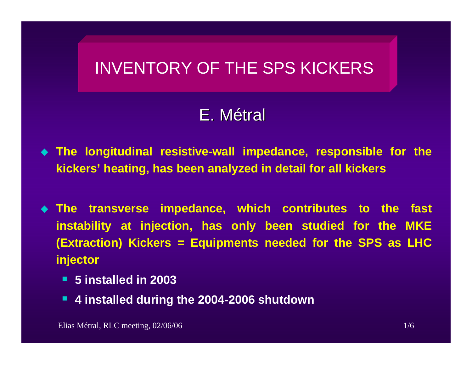## INVENTORY OF THE SPS KICKERS

# E.Métral

- **The longitudinal resistive-wall impedance, responsible for the kickers' heating, has been analyzed in detail for all kickers**
- **The transverse impedance, which contributes to the fast instability at injection, has only been studied for the MKE (Extraction) Kickers = Equipments needed for the SPS as LHC injector**
	- **5 installed in 2003**
	- **4 installed during the 2004-2006 shutdown**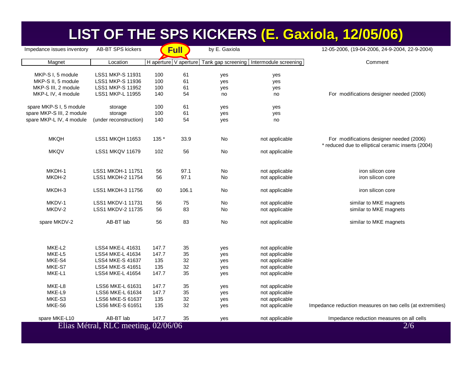### LIST OF THE SPS KICKERS (E. Gaxiola, 12/05/06)

| Impedance issues inventory | <b>AB-BT SPS kickers</b>            |                       | <b>Full</b> | by E. Gaxiola |                                          | 12-05-2006, (19-04-2006, 24-9-2004, 22-9-2004)                                                 |
|----------------------------|-------------------------------------|-----------------------|-------------|---------------|------------------------------------------|------------------------------------------------------------------------------------------------|
| Magnet                     | Location                            | H aperture V aperture |             |               | Tank gap screening Intermodule screening | Comment                                                                                        |
| MKP-S I, 5 module          | LSS1 MKP-S 11931                    | 100                   | 61          | yes           | yes                                      |                                                                                                |
| MKP-S II, 5 module         | <b>LSS1 MKP-S 11936</b>             | 100                   | 61          | yes           | yes                                      |                                                                                                |
| MKP-S III, 2 module        | <b>LSS1 MKP-S 11952</b>             | 100                   | 61          | yes           | yes                                      |                                                                                                |
| MKP-L IV, 4 module         | LSS1 MKP-L 11955                    | 140                   | 54          | no            | no                                       | For modifications designer needed (2006)                                                       |
| spare MKP-S I, 5 module    | storage                             | 100                   | 61          | yes           | yes                                      |                                                                                                |
| spare MKP-S III, 2 module  | storage                             | 100                   | 61          | yes           | yes                                      |                                                                                                |
| spare MKP-L IV, 4 module   | (under reconstruction)              | 140                   | 54          | yes           | no                                       |                                                                                                |
| <b>MKQH</b>                | <b>LSS1 MKQH 11653</b>              | 135 *                 | 33.9        | No            | not applicable                           | For modifications designer needed (2006)<br>* reduced due to elliptical ceramic inserts (2004) |
| <b>MKQV</b>                | <b>LSS1 MKQV 11679</b>              | 102                   | 56          | No            | not applicable                           |                                                                                                |
| MKDH-1                     | LSS1 MKDH-1 11751                   | 56                    | 97.1        | No            | not applicable                           | iron silicon core                                                                              |
| MKDH-2                     | LSS1 MKDH-2 11754                   | 56                    | 97.1        | <b>No</b>     | not applicable                           | iron silicon core                                                                              |
|                            |                                     |                       |             |               |                                          |                                                                                                |
| MKDH-3                     | LSS1 MKDH-3 11756                   | 60                    | 106.1       | No            | not applicable                           | iron silicon core                                                                              |
| MKDV-1                     | <b>LSS1 MKDV-1 11731</b>            | 56                    | 75          | No            | not applicable                           | similar to MKE magnets                                                                         |
| MKDV-2                     | LSS1 MKDV-2 11735                   | 56                    | 83          | No            | not applicable                           | similar to MKE magnets                                                                         |
| spare MKDV-2               | AB-BT lab                           | 56                    | 83          | <b>No</b>     | not applicable                           | similar to MKE magnets                                                                         |
|                            |                                     |                       |             |               |                                          |                                                                                                |
| MKE-L2                     | LSS4 MKE-L 41631                    | 147.7                 | 35          | yes           | not applicable                           |                                                                                                |
| MKE-L5                     | LSS4 MKE-L 41634                    | 147.7                 | 35          | yes           | not applicable                           |                                                                                                |
| MKE-S4                     | <b>LSS4 MKE-S 41637</b>             | 135                   | 32          | yes           | not applicable                           |                                                                                                |
| MKE-S7                     | <b>LSS4 MKE-S 41651</b>             | 135                   | 32          | yes           | not applicable                           |                                                                                                |
| MKE-L1                     | LSS4 MKE-L 41654                    | 147.7                 | 35          | yes           | not applicable                           |                                                                                                |
| MKE-L8                     | LSS6 MKE-L 61631                    | 147.7                 | 35          | yes           | not applicable                           |                                                                                                |
| MKE-L9                     | LSS6 MKE-L 61634                    | 147.7                 | 35          | yes           | not applicable                           |                                                                                                |
| MKE-S3                     | LSS6 MKE-S 61637                    | 135                   | 32          | yes           | not applicable                           |                                                                                                |
| MKE-S6                     | LSS6 MKE-S 61651                    | 135                   | 32          | yes           | not applicable                           | Impedance reduction measures on two cells (at extremities)                                     |
| spare MKE-L10              | AB-BT lab                           | 147.7                 | 35          | yes           | not applicable                           | Impedance reduction measures on all cells                                                      |
|                            | Elias Métral, RLC meeting, 02/06/06 |                       |             |               |                                          | 2/6                                                                                            |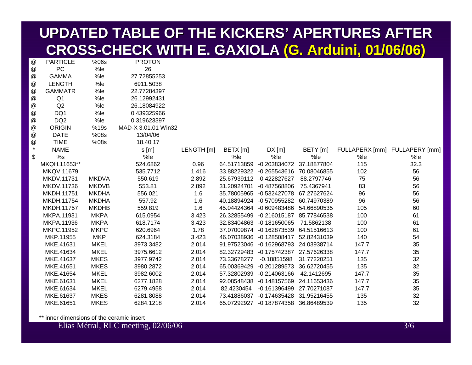### **UPDATED TABLE OF THE KICKERS UPDATED TABLE OF THE KICKERS' APERTURES AFTER APERTURES AFTER CROSS -CHECK WITH E. GAXIOLA CHECK WITH E. GAXIOLA (G. Arduini Arduini, 01/06/06) , 01/06/06)**

| @                         | <b>PARTICLE</b>   | $%$ 06s      | <b>PROTON</b>       |            |             |                                      |             |       |                               |
|---------------------------|-------------------|--------------|---------------------|------------|-------------|--------------------------------------|-------------|-------|-------------------------------|
| @                         | <b>PC</b>         | %le          | 26                  |            |             |                                      |             |       |                               |
| $^\text{\textregistered}$ | <b>GAMMA</b>      | %le          | 27.72855253         |            |             |                                      |             |       |                               |
| $^\text{\textregistered}$ | <b>LENGTH</b>     | %le          | 6911.5038           |            |             |                                      |             |       |                               |
| @                         | <b>GAMMATR</b>    | %le          | 22.77284397         |            |             |                                      |             |       |                               |
| $^\text{\textregistered}$ | Q <sub>1</sub>    | %le          | 26.12992431         |            |             |                                      |             |       |                               |
| $^\text{\textregistered}$ | Q2                | %le          | 26.18084922         |            |             |                                      |             |       |                               |
| $^\text{\textregistered}$ | DQ1               | %le          | 0.439325966         |            |             |                                      |             |       |                               |
| @                         | DQ <sub>2</sub>   | %le          | 0.319623397         |            |             |                                      |             |       |                               |
| $^\text{\textregistered}$ | <b>ORIGIN</b>     | %19s         | MAD-X 3.01.01 Win32 |            |             |                                      |             |       |                               |
| @                         | <b>DATE</b>       | %08s         | 13/04/06            |            |             |                                      |             |       |                               |
| $^\text{\textregistered}$ | <b>TIME</b>       | %08s         | 18.40.17            |            |             |                                      |             |       |                               |
| $\star$                   | <b>NAME</b>       |              | s[m]                | LENGTH [m] | BETX [m]    | DX[m]                                | BETY [m]    |       | FULLAPERX [mm] FULLAPERY [mm] |
| \$                        | %s                |              | %le                 |            | %le         | %le                                  | %le         | %le   | %le                           |
|                           | MKQH.11653**      |              | 524.6862            | 0.96       |             | 64.51713859 -0.203834072             | 37.18877804 | 115   | 32.3                          |
|                           | MKQV.11679        |              | 535.7712            | 1.416      |             | 33.88229322 -0.265543616 70.08046855 |             | 102   | 56                            |
|                           | <b>MKDV.11731</b> | <b>MKDVA</b> | 550.619             | 2.892      |             | 25.67939112 -0.422827627             | 88.2797746  | 75    | 56                            |
|                           | MKDV.11736        | <b>MKDVB</b> | 553.81              | 2.892      |             | 31.20924701 -0.487568806             | 75.4367941  | 83    | 56                            |
|                           | MKDH.11751        | <b>MKDHA</b> | 556.021             | 1.6        |             | 35.78005965 -0.532427078 67.27627624 |             | 96    | 56                            |
|                           | MKDH.11754        | <b>MKDHA</b> | 557.92              | 1.6        |             | 40.18894924 -0.570955282 60.74970389 |             | 96    | 56                            |
|                           | MKDH.11757        | <b>MKDHB</b> | 559.819             | 1.6        |             | 45.04424364 -0.609483486 54.66890535 |             | 105   | 60                            |
|                           | MKPA.11931        | <b>MKPA</b>  | 615.0954            | 3.423      |             | 26.32855499 -0.216015187 85.77846538 |             | 100   | 61                            |
|                           | MKPA.11936        | <b>MKPA</b>  | 618.7174            | 3.423      |             | 32.83404863 -0.181650065             | 71.5862138  | 100   | 61                            |
|                           | MKPC.11952        | <b>MKPC</b>  | 620.6964            | 1.78       |             | 37.07009874 -0.162873539 64.51516613 |             | 100   | 61                            |
|                           | MKP.11955         | <b>MKP</b>   | 624.3184            | 3.423      |             | 46.07038936 -0.128508417 52.82431039 |             | 140   | 54                            |
|                           | MKE.41631         | <b>MKEL</b>  | 3973.3482           | 2.014      |             | 91.97523046 -0.162968793 24.03938714 |             | 147.7 | 35                            |
|                           | MKE.41634         | <b>MKEL</b>  | 3975.6612           | 2.014      |             | 82.32729483 -0.175742387 27.57626338 |             | 147.7 | 35                            |
|                           | MKE.41637         | <b>MKES</b>  | 3977.9742           | 2.014      | 73.33678277 | $-0.18851598$                        | 31.77220251 | 135   | 32                            |
|                           | MKE.41651         | <b>MKES</b>  | 3980.2872           | 2.014      |             | 65.00369429 -0.201289573             | 36.62720455 | 135   | 32                            |
|                           | MKE.41654         | <b>MKEL</b>  | 3982.6002           | 2.014      |             | 57.32802939 -0.214063166             | 42.1412695  | 147.7 | 35                            |
|                           | MKE.61631         | <b>MKEL</b>  | 6277.1828           | 2.014      |             | 92.08548438 -0.148157569 24.11653436 |             | 147.7 | 35                            |
|                           | MKE.61634         | <b>MKEL</b>  | 6279.4958           | 2.014      | 82.4230454  | -0.161396499 27.70271087             |             | 147.7 | 35                            |
|                           | MKE.61637         | <b>MKES</b>  | 6281.8088           | 2.014      |             | 73.41886037 -0.174635428 31.95216455 |             | 135   | 32                            |
|                           | MKE.61651         | <b>MKES</b>  | 6284.1218           | 2.014      |             | 65.07292927 -0.187874358 36.86489539 |             | 135   | 32                            |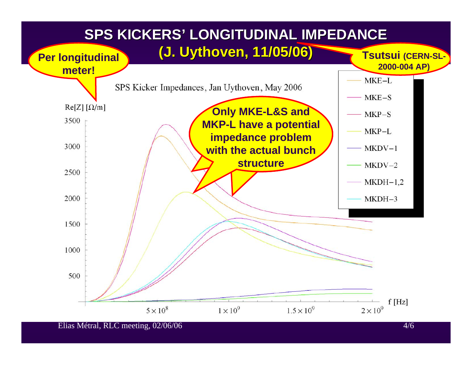#### **SPS KICKERS SPS KICKERS' LONGITUDINAL IMPEDANCE LONGITUDINAL IMPEDANCE**

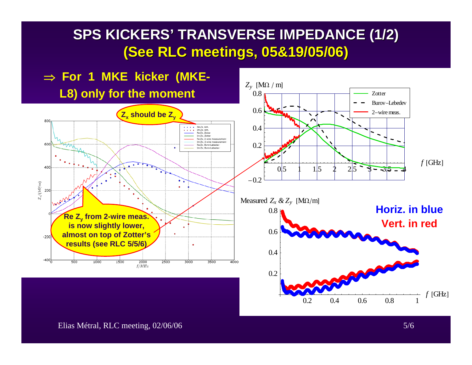### **SPS KICKERS SPS KICKERS' TRANSVERSE IMPEDANCE (1/2) TRANSVERSE IMPEDANCE (1/2) (See RLC meetings, 05&19/05/06) (See RLC meetings, 05&19/05/06)**